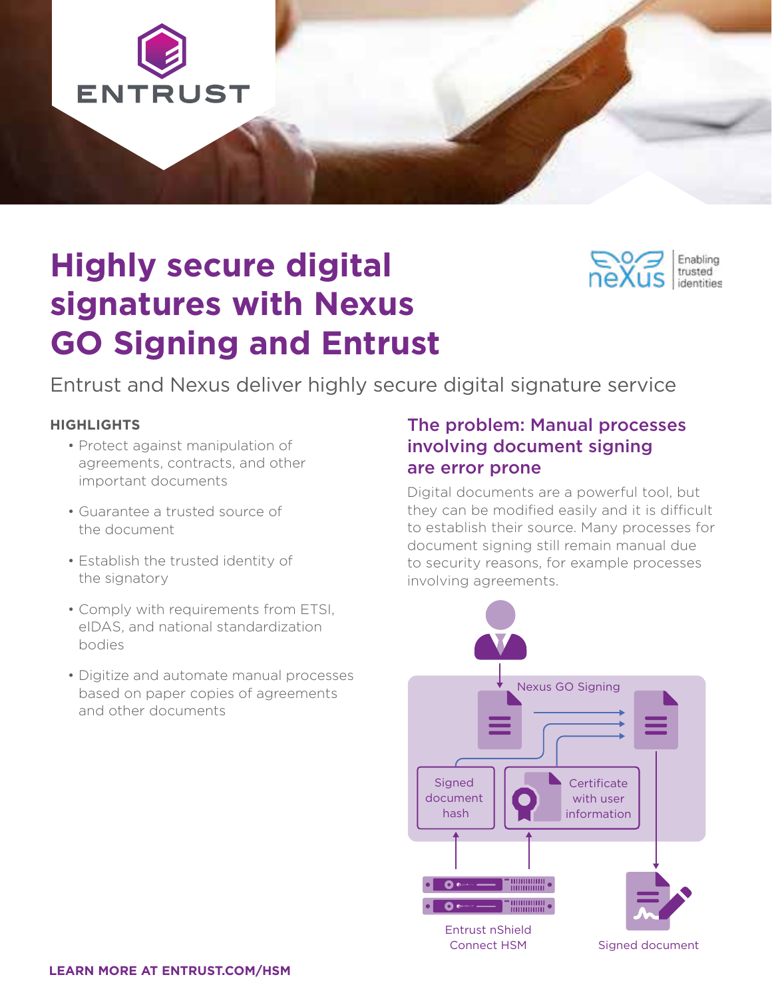

# **Highly secure digital signatures with Nexus GO Signing and Entrust**

Entrust and Nexus deliver highly secure digital signature service

#### **HIGHLIGHTS**

- Protect against manipulation of agreements, contracts, and other important documents
- Guarantee a trusted source of the document
- Establish the trusted identity of the signatory
- Comply with requirements from ETSI, eIDAS, and national standardization bodies
- Digitize and automate manual processes based on paper copies of agreements and other documents

#### The problem: Manual processes involving document signing are error prone

Enabling trusted identities

Digital documents are a powerful tool, but they can be modified easily and it is difficult to establish their source. Many processes for document signing still remain manual due to security reasons, for example processes involving agreements.

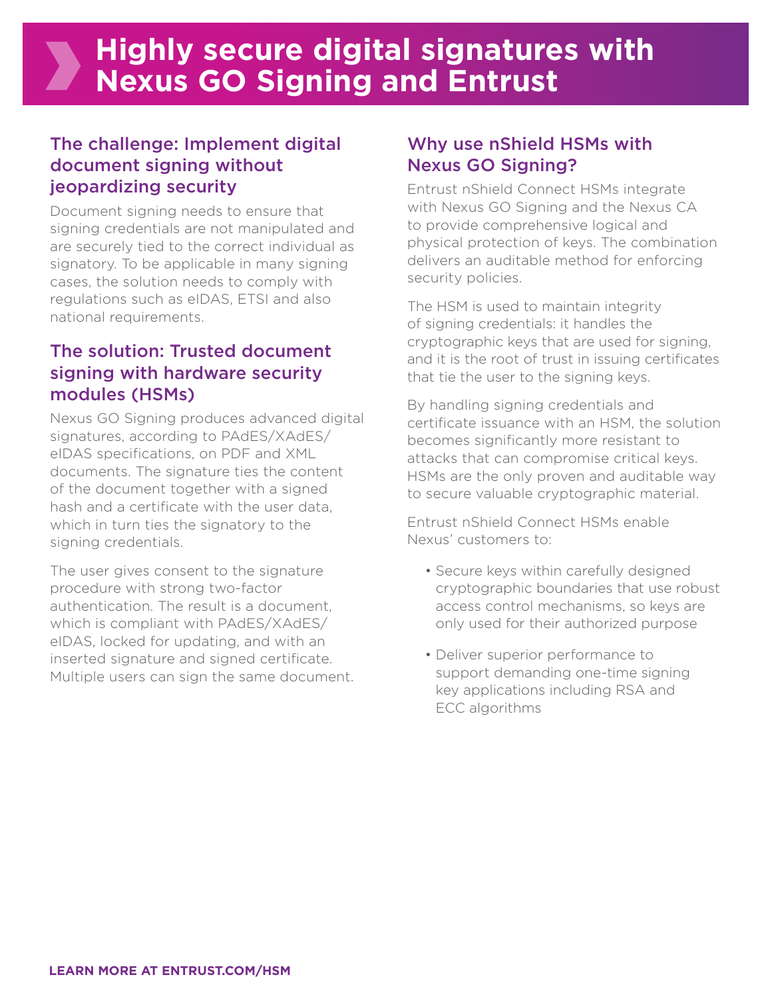## **Highly secure digital signatures with Nexus GO Signing and Entrust**

#### The challenge: Implement digital document signing without jeopardizing security

Document signing needs to ensure that signing credentials are not manipulated and are securely tied to the correct individual as signatory. To be applicable in many signing cases, the solution needs to comply with regulations such as eIDAS, ETSI and also national requirements.

#### The solution: Trusted document signing with hardware security modules (HSMs)

Nexus GO Signing produces advanced digital signatures, according to PAdES/XAdES/ eIDAS specifications, on PDF and XML documents. The signature ties the content of the document together with a signed hash and a certificate with the user data, which in turn ties the signatory to the signing credentials.

The user gives consent to the signature procedure with strong two-factor authentication. The result is a document, which is compliant with PAdES/XAdES/ eIDAS, locked for updating, and with an inserted signature and signed certificate. Multiple users can sign the same document.

### Why use nShield HSMs with Nexus GO Signing?

Entrust nShield Connect HSMs integrate with Nexus GO Signing and the Nexus CA to provide comprehensive logical and physical protection of keys. The combination delivers an auditable method for enforcing security policies.

The HSM is used to maintain integrity of signing credentials: it handles the cryptographic keys that are used for signing, and it is the root of trust in issuing certificates that tie the user to the signing keys.

By handling signing credentials and certificate issuance with an HSM, the solution becomes significantly more resistant to attacks that can compromise critical keys. HSMs are the only proven and auditable way to secure valuable cryptographic material.

Entrust nShield Connect HSMs enable Nexus' customers to:

- Secure keys within carefully designed cryptographic boundaries that use robust access control mechanisms, so keys are only used for their authorized purpose
- Deliver superior performance to support demanding one-time signing key applications including RSA and ECC algorithms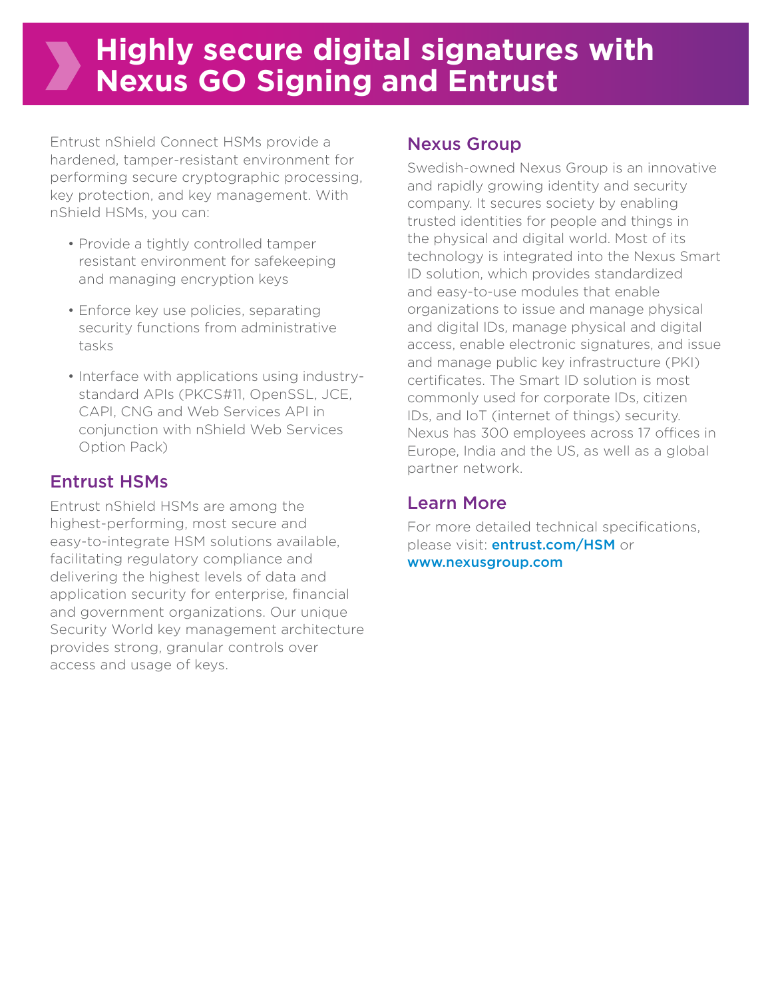# **Highly secure digital signatures with Nexus GO Signing and Entrust**

Entrust nShield Connect HSMs provide a hardened, tamper-resistant environment for performing secure cryptographic processing, key protection, and key management. With nShield HSMs, you can:

- Provide a tightly controlled tamper resistant environment for safekeeping and managing encryption keys
- Enforce key use policies, separating security functions from administrative tasks
- Interface with applications using industrystandard APIs (PKCS#11, OpenSSL, JCE, CAPI, CNG and Web Services API in conjunction with nShield Web Services Option Pack)

### Entrust HSMs

Entrust nShield HSMs are among the highest-performing, most secure and easy-to-integrate HSM solutions available, facilitating regulatory compliance and delivering the highest levels of data and application security for enterprise, financial and government organizations. Our unique Security World key management architecture provides strong, granular controls over access and usage of keys.

#### Nexus Group

Swedish-owned Nexus Group is an innovative and rapidly growing identity and security company. It secures society by enabling trusted identities for people and things in the physical and digital world. Most of its technology is integrated into the Nexus Smart ID solution, which provides standardized and easy-to-use modules that enable organizations to issue and manage physical and digital IDs, manage physical and digital access, enable electronic signatures, and issue and manage public key infrastructure (PKI) certificates. The Smart ID solution is most commonly used for corporate IDs, citizen IDs, and IoT (internet of things) security. Nexus has 300 employees across 17 offices in Europe, India and the US, as well as a global partner network.

### Learn More

For more detailed technical specifications, please visit: **[entrust.com](http://entrust.com/HSM)/HSM** or [www.nexusgroup.com](http://www.nexusgroup.com)